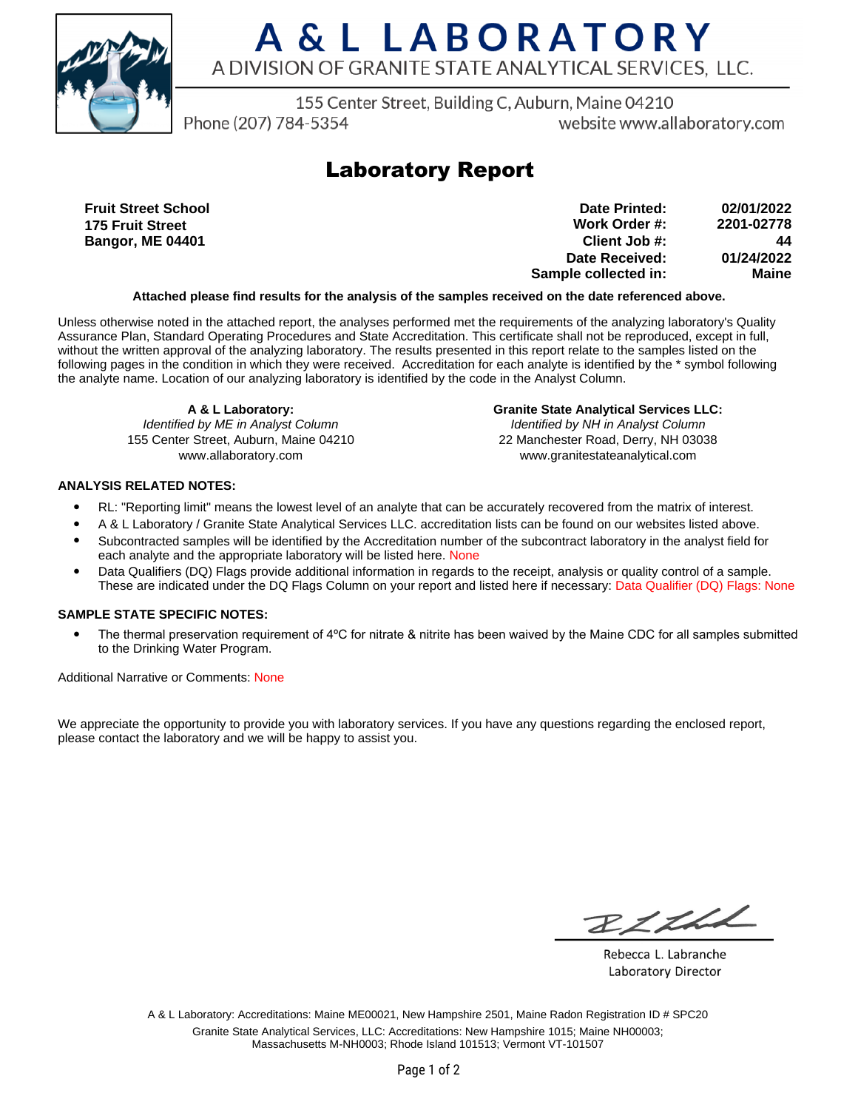

# A & L LABORATORY A DIVISION OF GRANITE STATE ANALYTICAL SERVICES, LLC.

155 Center Street, Building C, Auburn, Maine 04210

Phone (207) 784-5354

website www.allaboratory.com

### **Laboratory Report**

**Fruit Street School 175 Fruit Street Bangor, ME 04401**

**Work Order #: Client Job #: Date Received: Sample collected in: 2201-02778 44 01/24/2022 Maine Date Printed: 02/01/2022**

#### **Attached please find results for the analysis of the samples received on the date referenced above.**

Unless otherwise noted in the attached report, the analyses performed met the requirements of the analyzing laboratory's Quality Assurance Plan, Standard Operating Procedures and State Accreditation. This certificate shall not be reproduced, except in full, without the written approval of the analyzing laboratory. The results presented in this report relate to the samples listed on the following pages in the condition in which they were received. Accreditation for each analyte is identified by the \* symbol following the analyte name. Location of our analyzing laboratory is identified by the code in the Analyst Column.

**A & L Laboratory:** Identified by ME in Analyst Column 155 Center Street, Auburn, Maine 04210 www.allaboratory.com

**Granite State Analytical Services LLC:** Identified by NH in Analyst Column 22 Manchester Road, Derry, NH 03038 www.granitestateanalytical.com

### **ANALYSIS RELATED NOTES:**

- RL: "Reporting limit" means the lowest level of an analyte that can be accurately recovered from the matrix of interest.
- A & L Laboratory / Granite State Analytical Services LLC. accreditation lists can be found on our websites listed above.
- Subcontracted samples will be identified by the Accreditation number of the subcontract laboratory in the analyst field for each analyte and the appropriate laboratory will be listed here. None
- Data Qualifiers (DQ) Flags provide additional information in regards to the receipt, analysis or quality control of a sample. These are indicated under the DQ Flags Column on your report and listed here if necessary: Data Qualifier (DQ) Flags: None

#### **SAMPLE STATE SPECIFIC NOTES:**

• The thermal preservation requirement of 4°C for nitrate & nitrite has been waived by the Maine CDC for all samples submitted to the Drinking Water Program.

Additional Narrative or Comments: None

We appreciate the opportunity to provide you with laboratory services. If you have any questions regarding the enclosed report, please contact the laboratory and we will be happy to assist you.

RICHL

Rebecca L. Labranche Laboratory Director

A & L Laboratory: Accreditations: Maine ME00021, New Hampshire 2501, Maine Radon Registration ID # SPC20 Granite State Analytical Services, LLC: Accreditations: New Hampshire 1015; Maine NH00003; Massachusetts M-NH0003; Rhode Island 101513; Vermont VT-101507